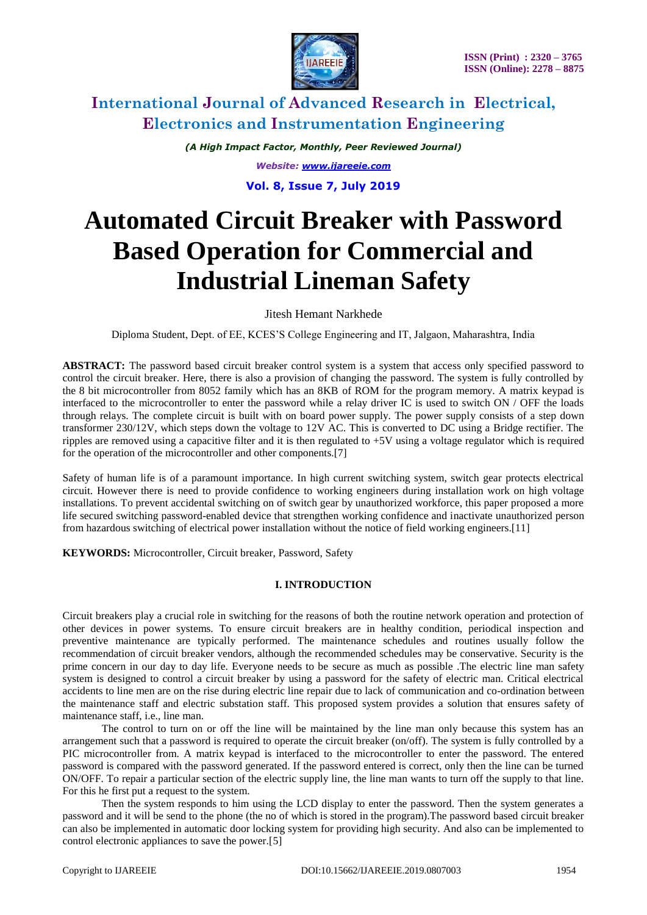

*(A High Impact Factor, Monthly, Peer Reviewed Journal) Website: [www.ijareeie.com](http://www.ijareeie.com/)*

**Vol. 8, Issue 7, July 2019**

# **Automated Circuit Breaker with Password Based Operation for Commercial and Industrial Lineman Safety**

Jitesh Hemant Narkhede

Diploma Student, Dept. of EE, KCES'S College Engineering and IT, Jalgaon, Maharashtra, India

**ABSTRACT:** The password based circuit breaker control system is a system that access only specified password to control the circuit breaker. Here, there is also a provision of changing the password. The system is fully controlled by the 8 bit microcontroller from 8052 family which has an 8KB of ROM for the program memory. A matrix keypad is interfaced to the microcontroller to enter the password while a relay driver IC is used to switch ON / OFF the loads through relays. The complete circuit is built with on board power supply. The power supply consists of a step down transformer 230/12V, which steps down the voltage to 12V AC. This is converted to DC using a Bridge rectifier. The ripples are removed using a capacitive filter and it is then regulated to +5V using a voltage regulator which is required for the operation of the microcontroller and other components.[7]

Safety of human life is of a paramount importance. In high current switching system, switch gear protects electrical circuit. However there is need to provide confidence to working engineers during installation work on high voltage installations. To prevent accidental switching on of switch gear by unauthorized workforce, this paper proposed a more life secured switching password-enabled device that strengthen working confidence and inactivate unauthorized person from hazardous switching of electrical power installation without the notice of field working engineers.[11]

**KEYWORDS:** Microcontroller, Circuit breaker, Password, Safety

### **I. INTRODUCTION**

Circuit breakers play a crucial role in switching for the reasons of both the routine network operation and protection of other devices in power systems. To ensure circuit breakers are in healthy condition, periodical inspection and preventive maintenance are typically performed. The maintenance schedules and routines usually follow the recommendation of circuit breaker vendors, although the recommended schedules may be conservative. Security is the prime concern in our day to day life. Everyone needs to be secure as much as possible .The electric line man safety system is designed to control a circuit breaker by using a password for the safety of electric man. Critical electrical accidents to line men are on the rise during electric line repair due to lack of communication and co-ordination between the maintenance staff and electric substation staff. This proposed system provides a solution that ensures safety of maintenance staff, i.e., line man.

The control to turn on or off the line will be maintained by the line man only because this system has an arrangement such that a password is required to operate the circuit breaker (on/off). The system is fully controlled by a PIC microcontroller from. A matrix keypad is interfaced to the microcontroller to enter the password. The entered password is compared with the password generated. If the password entered is correct, only then the line can be turned ON/OFF. To repair a particular section of the electric supply line, the line man wants to turn off the supply to that line. For this he first put a request to the system.

Then the system responds to him using the LCD display to enter the password. Then the system generates a password and it will be send to the phone (the no of which is stored in the program).The password based circuit breaker can also be implemented in automatic door locking system for providing high security. And also can be implemented to control electronic appliances to save the power.[5]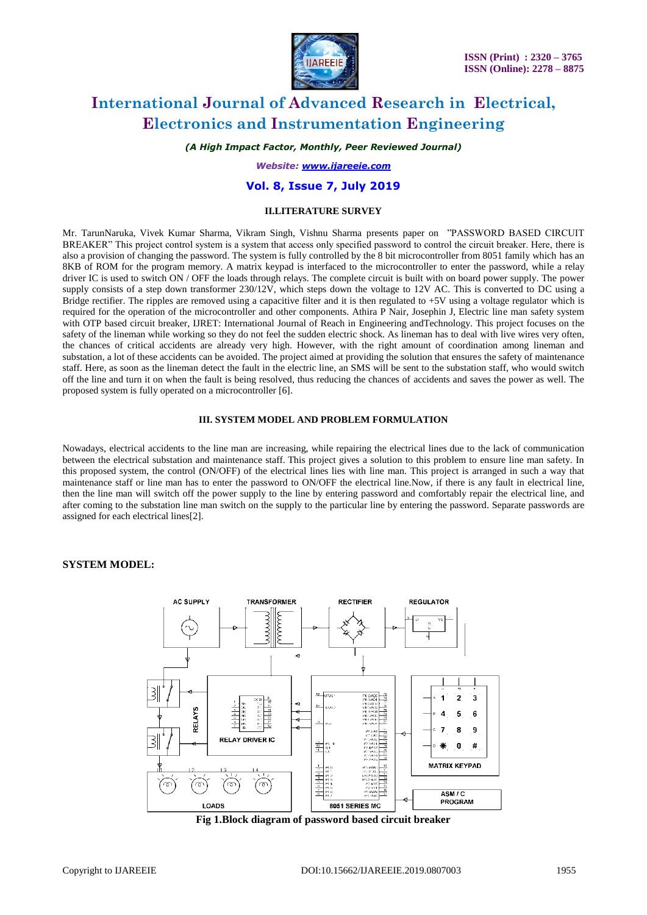

*(A High Impact Factor, Monthly, Peer Reviewed Journal)*

*Website: [www.ijareeie.com](http://www.ijareeie.com/)*

### **Vol. 8, Issue 7, July 2019**

#### **II.LITERATURE SURVEY**

Mr. TarunNaruka, Vivek Kumar Sharma, Vikram Singh, Vishnu Sharma presents paper on "PASSWORD BASED CIRCUIT BREAKER" This project control system is a system that access only specified password to control the circuit breaker. Here, there is also a provision of changing the password. The system is fully controlled by the 8 bit microcontroller from 8051 family which has an 8KB of ROM for the program memory. A matrix keypad is interfaced to the microcontroller to enter the password, while a relay driver IC is used to switch ON / OFF the loads through relays. The complete circuit is built with on board power supply. The power supply consists of a step down transformer 230/12V, which steps down the voltage to 12V AC. This is converted to DC using a Bridge rectifier. The ripples are removed using a capacitive filter and it is then regulated to  $+5V$  using a voltage regulator which is required for the operation of the microcontroller and other components. Athira P Nair, Josephin J, Electric line man safety system with OTP based circuit breaker, IJRET: International Journal of Reach in Engineering andTechnology. This project focuses on the safety of the lineman while working so they do not feel the sudden electric shock. As lineman has to deal with live wires very often, the chances of critical accidents are already very high. However, with the right amount of coordination among lineman and substation, a lot of these accidents can be avoided. The project aimed at providing the solution that ensures the safety of maintenance staff. Here, as soon as the lineman detect the fault in the electric line, an SMS will be sent to the substation staff, who would switch off the line and turn it on when the fault is being resolved, thus reducing the chances of accidents and saves the power as well. The proposed system is fully operated on a microcontroller [6].

#### **III. SYSTEM MODEL AND PROBLEM FORMULATION**

Nowadays, electrical accidents to the line man are increasing, while repairing the electrical lines due to the lack of communication between the electrical substation and maintenance staff. This project gives a solution to this problem to ensure line man safety. In this proposed system, the control (ON/OFF) of the electrical lines lies with line man. This project is arranged in such a way that maintenance staff or line man has to enter the password to ON/OFF the electrical line.Now, if there is any fault in electrical line, then the line man will switch off the power supply to the line by entering password and comfortably repair the electrical line, and after coming to the substation line man switch on the supply to the particular line by entering the password. Separate passwords are assigned for each electrical lines[2].

#### **SYSTEM MODEL:**



**Fig 1.Block diagram of password based circuit breaker**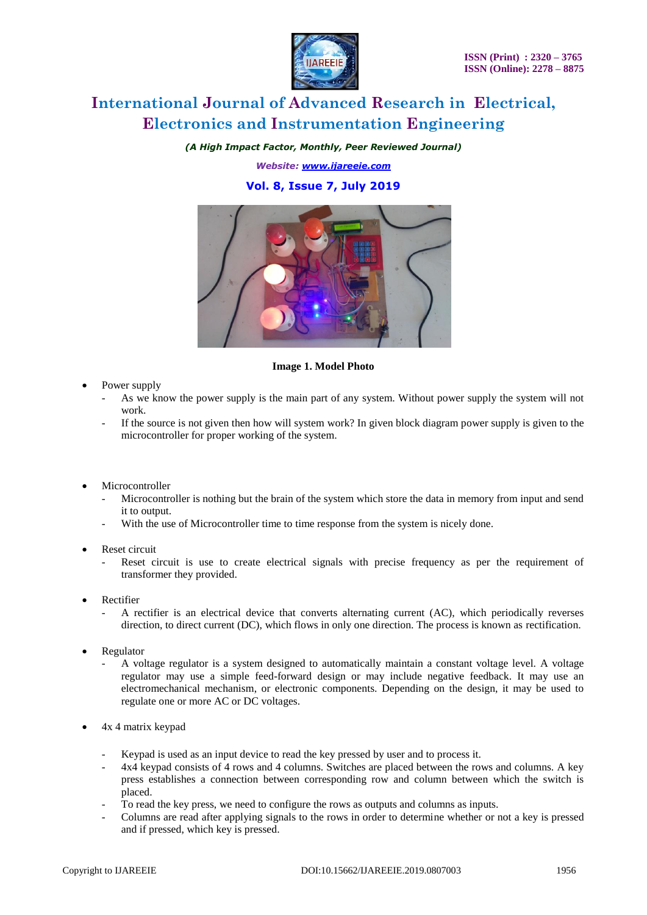

*(A High Impact Factor, Monthly, Peer Reviewed Journal)*

*Website: [www.ijareeie.com](http://www.ijareeie.com/)*

### **Vol. 8, Issue 7, July 2019**



#### **Image 1. Model Photo**

- Power supply
	- As we know the power supply is the main part of any system. Without power supply the system will not work.
	- If the source is not given then how will system work? In given block diagram power supply is given to the microcontroller for proper working of the system.
- Microcontroller
	- Microcontroller is nothing but the brain of the system which store the data in memory from input and send it to output.
	- With the use of Microcontroller time to time response from the system is nicely done.
- Reset circuit
	- Reset circuit is use to create electrical signals with precise frequency as per the requirement of transformer they provided.
- Rectifier
	- A rectifier is an electrical device that converts alternating current (AC), which periodically reverses direction, to direct current (DC), which flows in only one direction. The process is known as rectification.
- Regulator
	- A voltage regulator is a system designed to automatically maintain a constant voltage level. A voltage regulator may use a simple feed-forward design or may include negative feedback. It may use an electromechanical mechanism, or electronic components. Depending on the design, it may be used to regulate one or more AC or DC voltages.
- 4x 4 matrix keypad
	- Keypad is used as an input device to read the key pressed by user and to process it.
	- 4x4 keypad consists of 4 rows and 4 columns. Switches are placed between the rows and columns. A key press establishes a connection between corresponding row and column between which the switch is placed.
	- To read the key press, we need to configure the rows as outputs and columns as inputs.
	- Columns are read after applying signals to the rows in order to determine whether or not a key is pressed and if pressed, which key is pressed.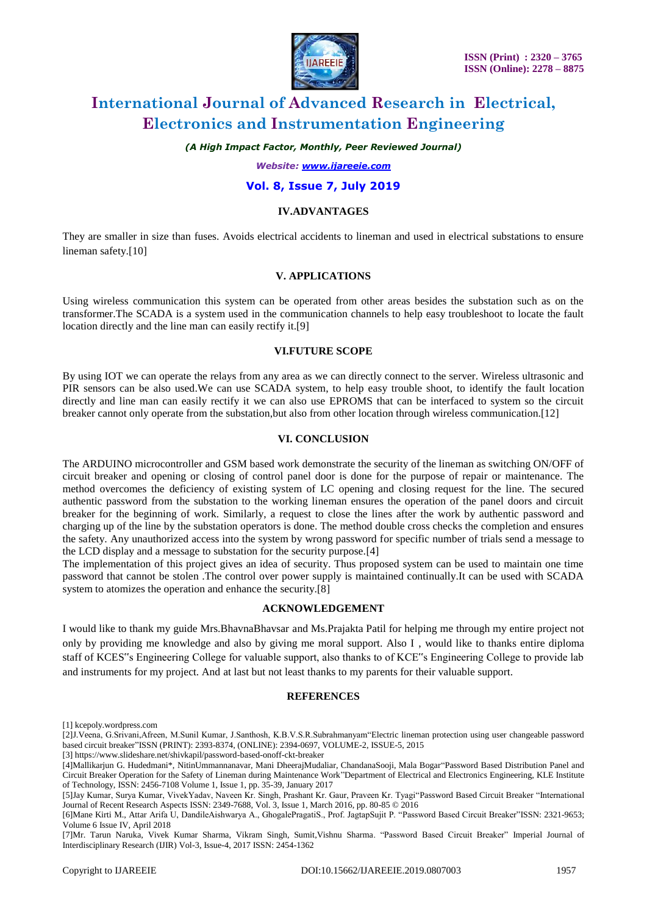

#### *(A High Impact Factor, Monthly, Peer Reviewed Journal)*

#### *Website: [www.ijareeie.com](http://www.ijareeie.com/)*

#### **Vol. 8, Issue 7, July 2019**

#### **IV.ADVANTAGES**

They are smaller in size than fuses. Avoids electrical accidents to lineman and used in electrical substations to ensure lineman safety.[10]

#### **V. APPLICATIONS**

Using wireless communication this system can be operated from other areas besides the substation such as on the transformer.The SCADA is a system used in the communication channels to help easy troubleshoot to locate the fault location directly and the line man can easily rectify it.[9]

#### **VI.FUTURE SCOPE**

By using IOT we can operate the relays from any area as we can directly connect to the server. Wireless ultrasonic and PIR sensors can be also used.We can use SCADA system, to help easy trouble shoot, to identify the fault location directly and line man can easily rectify it we can also use EPROMS that can be interfaced to system so the circuit breaker cannot only operate from the substation,but also from other location through wireless communication.[12]

#### **VI. CONCLUSION**

The ARDUINO microcontroller and GSM based work demonstrate the security of the lineman as switching ON/OFF of circuit breaker and opening or closing of control panel door is done for the purpose of repair or maintenance. The method overcomes the deficiency of existing system of LC opening and closing request for the line. The secured authentic password from the substation to the working lineman ensures the operation of the panel doors and circuit breaker for the beginning of work. Similarly, a request to close the lines after the work by authentic password and charging up of the line by the substation operators is done. The method double cross checks the completion and ensures the safety. Any unauthorized access into the system by wrong password for specific number of trials send a message to the LCD display and a message to substation for the security purpose.[4]

The implementation of this project gives an idea of security. Thus proposed system can be used to maintain one time password that cannot be stolen .The control over power supply is maintained continually.It can be used with SCADA system to atomizes the operation and enhance the security.[8]

### **ACKNOWLEDGEMENT**

I would like to thank my guide Mrs.BhavnaBhavsar and Ms.Prajakta Patil for helping me through my entire project not only by providing me knowledge and also by giving me moral support. Also I , would like to thanks entire diploma staff of KCES"s Engineering College for valuable support, also thanks to of KCE"s Engineering College to provide lab and instruments for my project. And at last but not least thanks to my parents for their valuable support.

#### **REFERENCES**

[1] kcepoly.wordpress.com

<sup>[2]</sup>J.Veena, G.Srivani,Afreen, M.Sunil Kumar, J.Santhosh, K.B.V.S.R.Subrahmanyam"Electric lineman protection using user changeable password based circuit breaker"ISSN (PRINT): 2393-8374, (ONLINE): 2394-0697, VOLUME-2, ISSUE-5, 2015

<sup>[3]</sup><https://www.slideshare.net/shivkapil/password-based-onoff-ckt-breaker>

<sup>[4]</sup>Mallikarjun G. Hudedmani\*, NitinUmmannanavar, Mani DheerajMudaliar, ChandanaSooji, Mala Bogar"Password Based Distribution Panel and Circuit Breaker Operation for the Safety of Lineman during Maintenance Work"Department of Electrical and Electronics Engineering, KLE Institute of Technology, ISSN: 2456-7108 Volume 1, Issue 1, pp. 35-39, January 2017

<sup>[5]</sup>Jay Kumar, Surya Kumar, VivekYadav, Naveen Kr. Singh, Prashant Kr. Gaur, Praveen Kr. Tyagi"Password Based Circuit Breaker "International Journal of Recent Research Aspects ISSN: 2349-7688, Vol. 3, Issue 1, March 2016, pp. 80-85 © 2016

<sup>[6]</sup>Mane Kirti M., Attar Arifa U, DandileAishwarya A., GhogalePragatiS., Prof. JagtapSujit P. "Password Based Circuit Breaker"ISSN: 2321-9653; Volume 6 Issue IV, April 2018

<sup>[7]</sup>Mr. Tarun Naruka, Vivek Kumar Sharma, Vikram Singh, Sumit,Vishnu Sharma. "Password Based Circuit Breaker" Imperial Journal of Interdisciplinary Research (IJIR) Vol-3, Issue-4, 2017 ISSN: 2454-1362